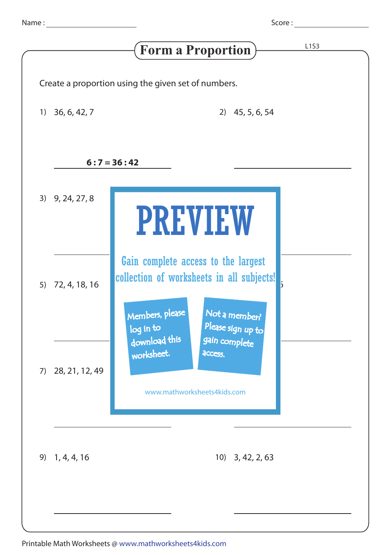